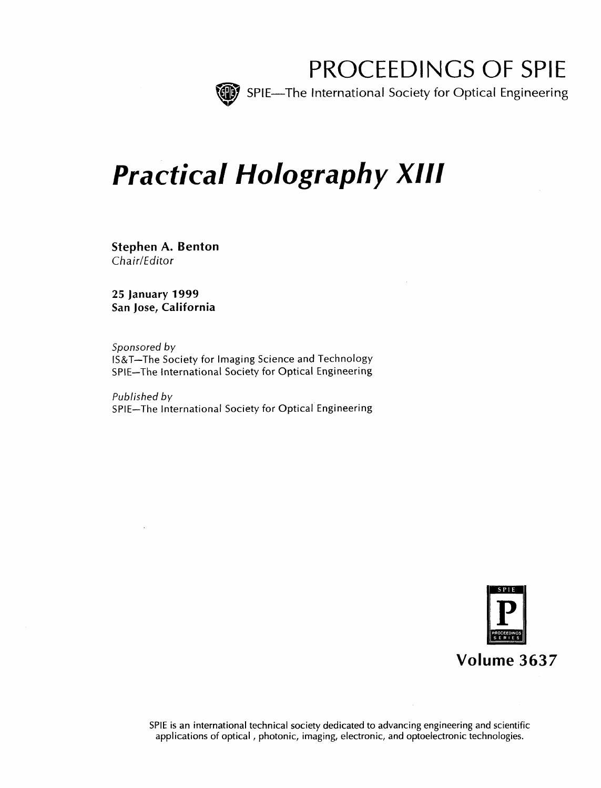

PROCEEDINGS OF SPIE

SPIE—The International Society for Optical Engineering

# Practical Holography XIII

Stephen A. Benton Chair/Editor

25 January 1999 San Jose, California

Sponsored by IS&T—The Society for Imaging Science and Technology SPIE—The International Society for Optical Engineering

Published by SPIE—The International Society for Optical Engineering



SPIE is an international technical society dedicated to advancing engineering and scientific applications of optical, photonic, imaging, electronic, and optoelectronic technologies.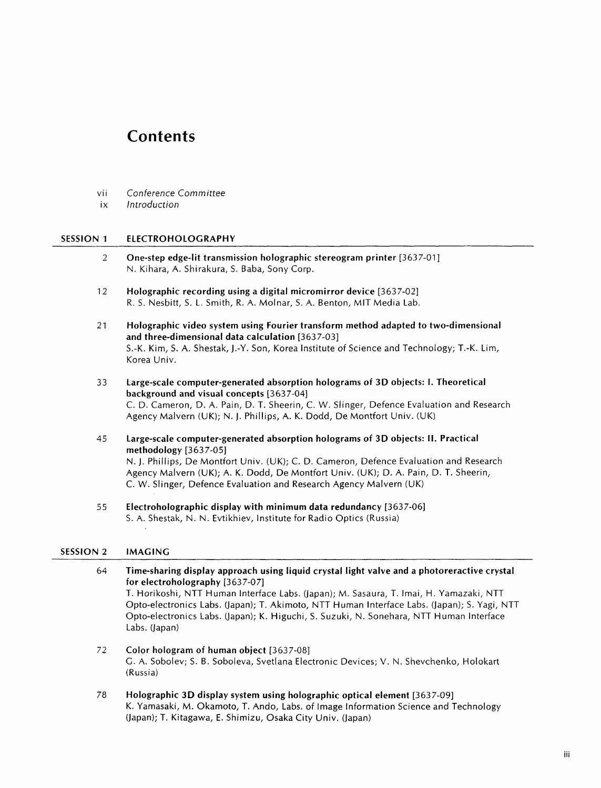## **Contents**

- vii Conference Committee
- ix Introduction

#### SESSION <sup>1</sup> ELECTROHOLOGRAPHY

- 2 One-step edge-lit transmission holographic stereogram printer [3637-01] N. Kihara, A. Shirakura, S. Baba, Sony Corp.
- 12 Holographic recording using a digital micromirror device [3637-02] R. S. Nesbitt, S. L. Smith, R. A. Molnar, S. A. Benton, MIT Media Lab.
- <sup>21</sup> Holographic video system using Fourier transform method adapted to two-dimensional and three-dimensional data calculation [3637-03] S.-K. Kim, S. A. Shestak, J.-Y. Son, Korea Institute of Science and Technology; T.-K. Lim, Korea Univ.
- <sup>33</sup> Large-scale computer-generated absorption holograms of 3D objects: 1. Theoretical background and visual concepts [3637-04] C. D. Cameron, D. A. Pain, D. T. Sheerin, C. W. Slinger, Defence Evaluation and Research Agency Malvern (UK); N. J. Phillips, A. K. Dodd, De Montfort Univ. (UK)
- 45 Large-scale computer-generated absorption holograms of 3D objects: II. Practical methodology [3637-05] N. J. Phillips, De Montfort Univ. (UK); C. D. Cameron, Defence Evaluation and Research Agency Malvern (UK); A. K. Dodd, De Montfort Univ. (UK); D. A. Pain, D. T. Sheerin, C. W. Slinger, Defence Evaluation and Research Agency Malvern (UK)
- 55 Electroholographic display with minimum data redundancy [3637-06] S. A. Shestak, N. N. Evtikhiev, Institute for Radio Optics (Russia)

#### SESSION <sup>2</sup> IMAGING

- 64 Time-sharing display approach using liquid crystal light valve and a photoreractive crystal for electroholography [3637-07] T. Horikoshi, NTT Human Interface Labs. (Japan); M. Sasaura, T. Imai, H. Yamazaki, NTT Opto-electronics Labs. (Japan); T. Akimoto, NTT Human Interface Labs. (Japan); S. Yagi, NTT Opto-electronics Labs. (Japan); K. Higuchi, S. Suzuki, N. Sonehara, NTT Human Interface Labs. (Japan)
- 72 Color hologram of human object [3637-08] G. A. Sobolev; S. B. Soboleva, Svetlana Electronic Devices; V. N. Shevchenko, Holokart (Russia)
- <sup>78</sup> Holographic 3D display system using holographic optical element [3637-09] K. Yamasaki, M. Okamoto, T. Ando, Labs, of Image Information Science and Technology (Japan); T. Kitagawa, E. Shimizu, Osaka City Univ. (Japan)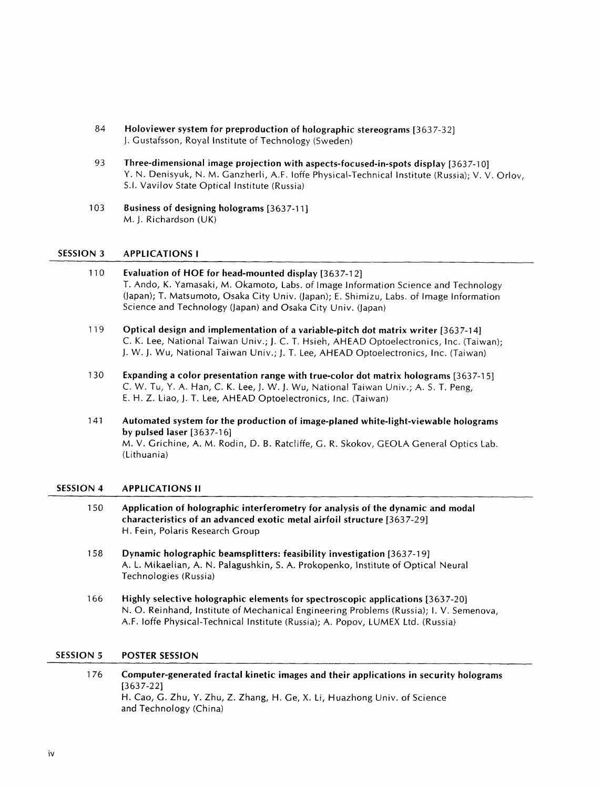- 84 Holoviewer system for preproduction of holographic stereograms [3637-32] J. Gustafsson, Royal Institute of Technology (Sweden)
- 93 Three-dimensional image projection with aspects-focused-in-spots display [3637-10] Y. N. Denisyuk, N. M. Ganzherli, A.F. loffe Physical-Technical Institute (Russia); V. V. Orlov, S.I. Vavilov State Optical Institute (Russia)
- 103 Business of designing holograms [3637-11] M.J. Richardson (UK)

#### SESSION 3 APPLICATIONS I

- 110 Evaluation of HOE for head-mounted display [3637-12] T. Ando, K. Yamasaki, M. Okamoto, Labs, of Image Information Science and Technology (Japan); T. Matsumoto, Osaka City Univ. (Japan); E. Shimizu, Labs, of Image Information Science and Technology (Japan) and Osaka City Univ. (Japan)
- 119 Optical design and implementation of a variable-pitch dot matrix writer [3637-14] C. K. Lee, National Taiwan Univ.; J. C. T. Hsieh, AHEAD Optoelectronics, Inc. (Taiwan); J. W. J. Wu, National Taiwan Univ.; J. T. Lee, AHEAD Optoelectronics, Inc. (Taiwan)
- 130 Expanding a color presentation range with true-color dot matrix holograms [3637-15] C. W. Tu, Y. A. Han, C. K. Lee, J. W. J. Wu, National Taiwan Univ.; A. S. T. Peng, E. H. Z. Liao, J. T. Lee, AHEAD Optoelectronics, Inc. (Taiwan)
- 141 Automated system for the production of image-planed white-light-viewable holograms by pulsed laser  $[3637-16]$ M. V. Grichine, A. M. Rodin, D. B. Ratcliffe, G. R. Skokov, GEOLA General Optics Lab. (Lithuania)

#### SESSION 4 APPLICATIONS II

- <sup>1</sup> 50 Application of holographic interferometry for analysis of the dynamic and modal characteristics of an advanced exotic metal airfoil structure [3637-29] H. Fein, Polaris Research Group
- 158 Dynamic holographic beamsplitters: feasibility investigation [3637-19] A. L. Mikaelian, A. N. Palagushkin, S. A. Prokopenko, Institute of Optical Neural Technologies (Russia)
- 166 Highly selective holographic elements for spectroscopic applications [3637-20] N. O. Reinhand, Institute of Mechanical Engineering Problems (Russia); I. V. Semenova, A.F. loffe Physical-Technical Institute (Russia); A. Popov, LUMEX Ltd. (Russia)

### SESSION 5 POSTER SESSION

<sup>1</sup> 76 Computer-generated fractal kinetic images and their applications in security holograms [3637-22] H. Cao, G. Zhu, Y. Zhu, Z. Zhang, H. Ge, X. Li, Huazhong Univ. of Science and Technology (China)